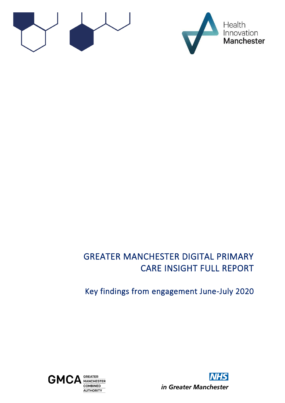



# GREATER MANCHESTER DIGITAL PRIMARY CARE INSIGHT FULL REPORT

# Key findings from engagement June-July 2020



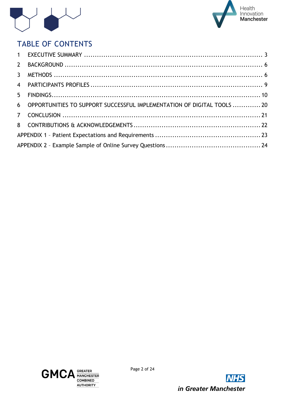



# TABLE OF CONTENTS

| 6 OPPORTUNITIES TO SUPPORT SUCCESSFUL IMPLEMENTATION OF DIGITAL TOOLS 20 |  |
|--------------------------------------------------------------------------|--|
|                                                                          |  |
|                                                                          |  |
|                                                                          |  |
|                                                                          |  |



Page 2 of 24

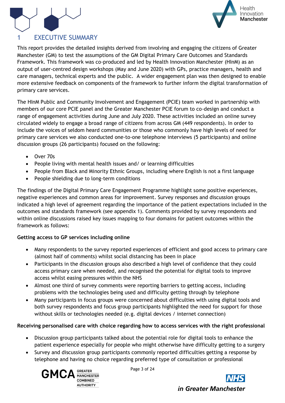



## <span id="page-2-0"></span>**EXECUTIVE SUMMARY**

This report provides the detailed insights derived from involving and engaging the citizens of Greater Manchester (GM) to test the assumptions of the GM Digital Primary Care Outcomes and Standards Framework. This framework was co-produced and led by Health Innovation Manchester (HInM) as an output of user-centred design workshops (May and June 2020) with GPs, practice managers, health and care managers, technical experts and the public. A wider engagement plan was then designed to enable more extensive feedback on components of the framework to further inform the digital transformation of primary care services.

The HInM Public and Community Involvement and Engagement (PCIE) team worked in partnership with members of our core PCIE panel and the Greater Manchester PCIE forum to co-design and conduct a range of engagement activities during June and July 2020. These activities included an online survey circulated widely to engage a broad range of citizens from across GM (449 respondents). In order to include the voices of seldom heard communities or those who commonly have high levels of need for primary care services we also conducted one-to-one telephone interviews (5 participants) and online discussion groups (26 participants) focused on the following:

- Over 70s
- People living with mental health issues and/ or learning difficulties
- People from Black and Minority Ethnic Groups, including where English is not a first language
- People shielding due to long-term conditions

The findings of the Digital Primary Care Engagement Programme highlight some positive experiences, negative experiences and common areas for improvement. Survey responses and discussion groups indicated a high level of agreement regarding the importance of the patient expectations included in the outcomes and standards framework (see appendix 1). Comments provided by survey respondents and within online discussions raised key issues mapping to four domains for patient outcomes within the framework as follows:

## **Getting access to GP services including online**

- Many respondents to the survey reported experiences of efficient and good access to primary care (almost half of comments) whilst social distancing has been in place
- Participants in the discussion groups also described a high level of confidence that they could access primary care when needed, and recognised the potential for digital tools to improve access whilst easing pressures within the NHS
- Almost one third of survey comments were reporting barriers to getting access, including problems with the technologies being used and difficulty getting through by telephone
- Many participants in focus groups were concerned about difficulties with using digital tools and both survey respondents and focus group participants highlighted the need for support for those without skills or technologies needed (e.g. digital devices / internet connection)

## **Receiving personalised care with choice regarding how to access services with the right professional**

- Discussion group participants talked about the potential role for digital tools to enhance the patient experience especially for people who might otherwise have difficulty getting to a surgery
- Survey and discussion group participants commonly reported difficulties getting a response by telephone and having no choice regarding preferred type of consultation or professional



Page 3 of 24



in Greater Manchester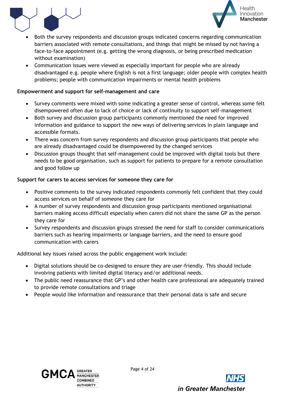



- Both the survey respondents and discussion groups indicated concerns regarding communication barriers associated with remote consultations, and things that might be missed by not having a face-to-face appointment (e.g. getting the wrong diagnosis, or being prescribed medication without examination)
- Communication issues were viewed as especially important for people who are already disadvantaged e.g. people where English is not a first language; older people with complex health problems; people with communication impairments or mental health problems

## **Empowerment and support for self-management and care**

- Survey comments were mixed with some indicating a greater sense of control, whereas some felt disempowered often due to lack of choice or lack of continuity to support self-management
- Both survey and discussion group participants commonly mentioned the need for improved information and guidance to support the new ways of delivering services in plain language and accessible formats.
- There was concern from survey respondents and discussion group participants that people who are already disadvantaged could be disempowered by the changed services
- Discussion groups thought that self-management could be improved with digital tools but there needs to be good organisation, such as support for patients to prepare for a remote consultation and good follow up

## **Support for carers to access services for someone they care for**

- Positive comments to the survey indicated respondents commonly felt confident that they could access services on behalf of someone they care for
- A number of survey respondents and discussion group participants mentioned organisational barriers making access difficult especially when carers did not share the same GP as the person they care for
- Survey respondents and discussion groups stressed the need for staff to consider communications barriers such as hearing impairments or language barriers, and the need to ensure good communication with carers

Additional key issues raised across the public engagement work include:

- Digital solutions should be co-designed to ensure they are user-friendly. This should include involving patients with limited digital literacy and/or additional needs.
- The public need reassurance that GP's and other health care professional are adequately trained to provide remote consultations and triage
- People would like information and reassurance that their personal data is safe and secure



Page 4 of 24

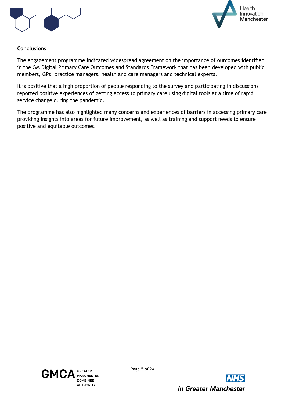



## **Conclusions**

The engagement programme indicated widespread agreement on the importance of outcomes identified in the GM Digital Primary Care Outcomes and Standards Framework that has been developed with public members, GPs, practice managers, health and care managers and technical experts.

It is positive that a high proportion of people responding to the survey and participating in discussions reported positive experiences of getting access to primary care using digital tools at a time of rapid service change during the pandemic.

The programme has also highlighted many concerns and experiences of barriers in accessing primary care providing insights into areas for future improvement, as well as training and support needs to ensure positive and equitable outcomes.



Page 5 of 24

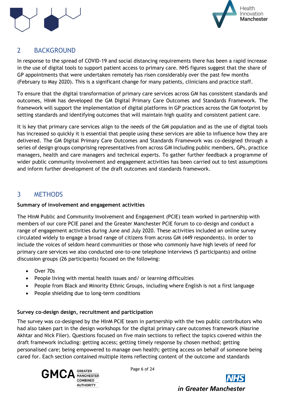



## <span id="page-5-0"></span>2 BACKGROUND

In response to the spread of COVID-19 and social distancing requirements there has been a rapid increase in the use of digital tools to support patient access to primary care. NHS figures suggest that the share of GP appointments that were undertaken remotely has risen considerably over the past few months (February to May 2020). This is a significant change for many patients, clinicians and practice staff.

To ensure that the digital transformation of primary care services across GM has consistent standards and outcomes, HInM has developed the GM Digital Primary Care Outcomes and Standards Framework. The framework will support the implementation of digital platforms in GP practices across the GM footprint by setting standards and identifying outcomes that will maintain high quality and consistent patient care.

It is key that primary care services align to the needs of the GM population and as the use of digital tools has increased so quickly it is essential that people using these services are able to influence how they are delivered. The GM Digital Primary Care Outcomes and Standards Framework was co-designed through a series of design groups comprising representatives from across GM including public members, GPs, practice managers, health and care managers and technical experts. To gather further feedback a programme of wider public community involvement and engagement activities has been carried out to test assumptions and inform further development of the draft outcomes and standards framework.

## <span id="page-5-1"></span>3 METHODS

## **Summary of involvement and engagement activities**

The HInM Public and Community Involvement and Engagement (PCIE) team worked in partnership with members of our core PCIE panel and the Greater Manchester PCIE forum to co-design and conduct a range of engagement activities during June and July 2020. These activities included an online survey circulated widely to engage a broad range of citizens from across GM (449 respondents). In order to include the voices of seldom heard communities or those who commonly have high levels of need for primary care services we also conducted one-to-one telephone interviews (5 participants) and online discussion groups (26 participants) focused on the following:

- Over 70s
- People living with mental health issues and/ or learning difficulties
- People from Black and Minority Ethnic Groups, including where English is not a first language
- People shielding due to long-term conditions

## **Survey co-design design, recruitment and participation**

The survey was co-designed by the HInM PCIE team in partnership with the two public contributors who had also taken part in the design workshops for the digital primary care outcomes framework (Nasrine Akhtar and Nick Filer). Questions focused on five main sections to reflect the topics covered within the draft framework including: getting access; getting timely response by chosen method; getting personalised care; being empowered to manage own health; getting access on behalf of someone being cared for. Each section contained multiple items reflecting content of the outcome and standards



Page 6 of 24

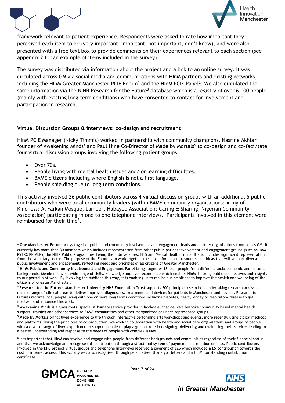



framework relevant to patient experience. Respondents were asked to rate how important they perceived each item to be (very important, important, not important, don't know), and were also presented with a free text box to provide comments on their experiences relevant to each section (see appendix 2 for an example of items included in the survey).

The survey was distributed via information about the project and a link to an online survey. It was circulated across GM via social media and communications with HInM partners and existing networks, including the HInM Greater Manchester PCIE Forum<sup>1</sup> and the HInM PCIE Panel<sup>2</sup>. We also circulated the same information via the NIHR Research for the Future<sup>3</sup> database which is a registry of over 6,000 people (mainly with existing long-term conditions) who have consented to contact for involvement and participation in research.

### **Virtual Discussion Groups & interviews: co-design and recruitment**

HInM PCIE Manager (Nicky Timmis) worked in partnership with community champions, Nasrine Akhtar founder of Awakening Minds<sup>4</sup> and Paul Hine Co-Director of Made by Mortals<sup>5</sup> to co-design and co-facilitate four virtual discussion groups involving the following patient groups:

- Over 70s.
- People living with mental health issues and/ or learning difficulties.
- BAME citizens including where English is not a first language.
- People shielding due to long term conditions.

This activity involved 26 public contributors across 4 virtual discussion groups with an additional 5 public contributors who were local community leaders (within BAME community organisations: Army of Kindness; Al Farkan Mosque; Lambert Habayeb Association; Caring & Sharing; Nigerian Community Association) participating in one to one telephone interviews. Participants involved in this element were reimbursed for their time<sup>6</sup>.

<sup>&</sup>lt;sup>6</sup> It is important that HInM can involve and engage with people from different backgrounds and communities regardless of their financial status and that we acknowledge and recognise this contribution through a structured system of payments and reimbursements. Public contributors involved in the DPC project virtual groups and telephone interviews received a payment of £25 which included a £5 contribution towards the cost of internet access. This activity was also recognised through personalised thank you letters and a HInM 'outstanding contribution' certificate.



Page 7 of 24



<sup>1</sup> **One Manchester Forum** brings together public and community involvement and engagement leads and partner organisations from across GM. It currently has more than 30 members which includes representation from other public patient involvement and engagement groups (such as UoM PSTRC PRIMER), the NIHR Public Programmes Team, the 4 Universities, NHS and Mental Health Trusts. It also includes significant representation from the voluntary sector. The purpose of the Forum is to work together to share information, resources and ideas that will support diverse public involvement and engagement, reflecting needs and priorities of all citizens of Greater Manchester.

<sup>2</sup> **HInM Public and Community Involvement and Engagement Panel** brings together 18 local people from different socio-economic and cultural backgrounds. Members have a wide range of skills, knowledge and lived experience which enables HInM to bring public perspectives and insights to our portfolio of work. By involving the public in this way, it is enabling us to realise our ambition; to improve the health and wellbeing of the citizens of Greater Manchester.

<sup>3</sup> **Research for the Future, [Manchester University NHS Foundation Trust](http://www.mft.nhs.uk/)** supports 300 principle researchers undertaking research across a diverse range of clinical areas to deliver improved diagnostics, treatments and devices for patients in Manchester and beyond. Research for Futures recruits local people living with one or more long terms conditions including diabetes, heart, kidney or respiratory disease to get involved and influence this work.

<sup>4</sup> **Awakening Minds** is a grass roots, specialist Punjabi service provider in Rochdale, that delivers bespoke community based mental health support, training and other services to BAME communities and other marginalized or under-represented groups.

<sup>5</sup> **Made by Mortals** brings lived experience to life through interactive performing arts workshops and events, more recently using digital methods and platforms. Using the principles of co-production, we work in collaboration with health and social care organisations and groups of people with a diverse range of lived experience to support people to play a greater role in designing, delivering and evaluating their services leading to a better understanding and response to the needs of people with complex issues.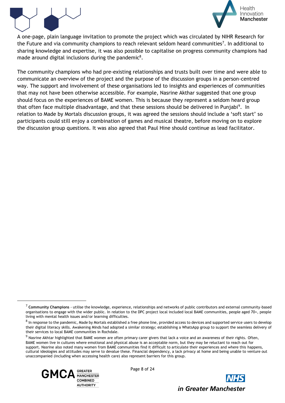



A one-page, plain language invitation to promote the project which was circulated by NIHR Research for the Future and via community champions to reach relevant seldom heard communities<sup>7</sup>. In additional to sharing knowledge and expertise, it was also possible to capitalise on progress community champions had made around digital inclusions during the pandemic<sup>8</sup>.

The community champions who had pre-existing relationships and trusts built over time and were able to communicate an overview of the project and the purpose of the discussion groups in a person-centred way. The support and involvement of these organisations led to insights and experiences of communities that may not have been otherwise accessible. For example, Nasrine Akthar suggested that one group should focus on the experiences of BAME women. This is because they represent a seldom heard group that often face multiple disadvantage, and that these sessions should be delivered in Punjabi<sup>9</sup>. In relation to Made by Mortals discussion groups, it was agreed the sessions should include a 'soft start' so participants could still enjoy a combination of games and musical theatre, before moving on to explore the discussion group questions. It was also agreed that Paul Hine should continue as lead facilitator.

 $9$  Nasrine Akhtar highlighted that BAME women are often primary carer givers that lack a voice and an awareness of their rights. Often, BAME women live in cultures where emotional and physical abuse is an acceptable norm, but they may be reluctant to reach out for support. Nasrine also noted many women from BAME communities find it difficult to articulate their experiences and where this happens, cultural ideologies and attitudes may serve to devalue these. Financial dependency, a lack privacy at home and being unable to venture out unaccompanied (including when accessing health care) also represent barriers for this group.



Page 8 of 24



<sup>7</sup> **Community Champions** - utilise the knowledge, experience, relationships and networks of public contributors and external community-based organisations to engage with the wider public. In relation to the DPC project local included local BAME communities, people aged 70+, people living with mental health issues and/or learning difficulties.

 $^8$  In response to the pandemic, Made by Mortals established a free phone line, provided access to devices and supported service users to develop their digital literacy skills. Awakening Minds had adopted a similar strategy; establishing a WhatsApp group to support the seamless delivery of their services to local BAME communities in Rochdale.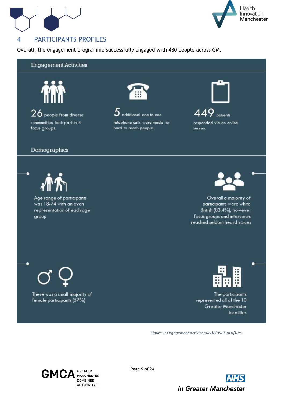



## <span id="page-8-0"></span>4 PARTICIPANTS PROFILES

Overall, the engagement programme successfully engaged with 480 people across GM.

### **Engagement Activities**



 $26$  people from diverse communities took part in 4 focus groups.

#### Demographics



Age range of participants was 18-74 with an even representation of each age group



 $5$  additional one to one telephone calls were made for hard to reach people.



449 patients responded via an online survey.



Overall a majority of participants were white British (83.4%), however focus groups and interviews reached seldom heard voices

There was a small majority of female participants (57%)



The participants represented all of the 10 Greater Manchester localities

*Figure 1: Engagement activity participant profiles*



Page 9 of 24

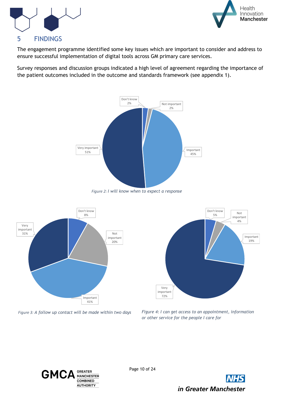



## <span id="page-9-0"></span>5 FINDINGS

The engagement programme identified some key issues which are important to consider and address to ensure successful implementation of digital tools across GM primary care services.

Survey responses and discussion groups indicated a high level of agreement regarding the importance of the patient outcomes included in the outcome and standards framework (see appendix 1).



*Figure 2: I will know when to expect a response*





*Figure 3: A follow up contact will be made within two days Figure 4: I can get access to an appointment, information or other service for the people I care for*



Page 10 of 24

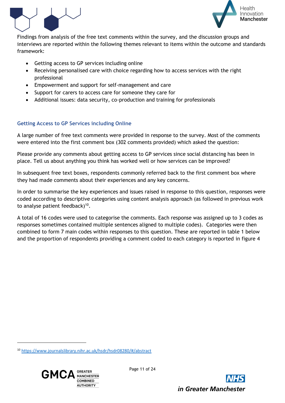



Findings from analysis of the free text comments within the survey, and the discussion groups and interviews are reported within the following themes relevant to items within the outcome and standards framework:

- Getting access to GP services including online
- Receiving personalised care with choice regarding how to access services with the right professional
- Empowerment and support for self-management and care
- Support for carers to access care for someone they care for
- Additional issues: data security, co-production and training for professionals

## **Getting Access to GP Services including Online**

A large number of free text comments were provided in response to the survey. Most of the comments were entered into the first comment box (302 comments provided) which asked the question:

Please provide any comments about getting access to GP services since social distancing has been in place. Tell us about anything you think has worked well or how services can be improved?

In subsequent free text boxes, respondents commonly referred back to the first comment box where they had made comments about their experiences and any key concerns.

In order to summarise the key experiences and issues raised in response to this question, responses were coded according to descriptive categories using content analysis approach (as followed in previous work to analyse patient feedback) $10$ .

A total of 16 codes were used to categorise the comments. Each response was assigned up to 3 codes as responses sometimes contained multiple sentences aligned to multiple codes). Categories were then combined to form 7 main codes within responses to this question. These are reported in table 1 below and the proportion of respondents providing a comment coded to each category is reported in figure 4

<sup>10</sup> <https://www.journalslibrary.nihr.ac.uk/hsdr/hsdr08280/#/abstract>



Page 11 of 24

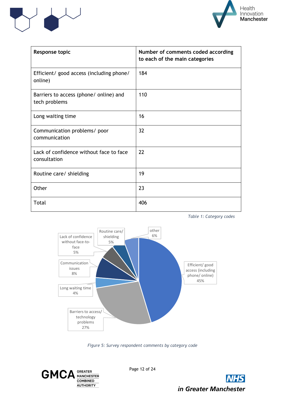



| Response topic                                          | Number of comments coded according<br>to each of the main categories |
|---------------------------------------------------------|----------------------------------------------------------------------|
| Efficient/ good access (including phone/<br>online)     | 184                                                                  |
| Barriers to access (phone/ online) and<br>tech problems | 110                                                                  |
| Long waiting time                                       | 16                                                                   |
| Communication problems/ poor<br>communication           | 32                                                                   |
| Lack of confidence without face to face<br>consultation | 22                                                                   |
| Routine care/ shielding                                 | 19                                                                   |
| Other                                                   | 23                                                                   |
| Total                                                   | 406                                                                  |





*Figure 5: Survey respondent comments by category code*

**GREATER<br>MANCHESTER GMCA COMBINED AUTHORITY** 

Page 12 of 24

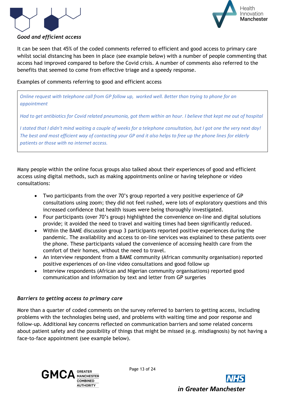



## *Good and efficient access*

It can be seen that 45% of the coded comments referred to efficient and good access to primary care whilst social distancing has been in place (see example below) with a number of people commenting that access had improved compared to before the Covid crisis. A number of comments also referred to the benefits that seemed to come from effective triage and a speedy response.

Examples of comments referring to good and efficient access

*Online request with telephone call from GP follow up, worked well. Better than trying to phone for an appointment*

*Had to get antibiotics for Covid related pneumonia, got them within an hour. I believe that kept me out of hospital*

*I stated that I didn't mind waiting a couple of weeks for a telephone consultation, but I got one the very next day! The best and most efficient way of contacting your GP and it also helps to free up the phone lines for elderly patients or those with no internet access.* 

Many people within the online focus groups also talked about their experiences of good and efficient access using digital methods, such as making appointments online or having telephone or video consultations:

- Two participants from the over 70's group reported a very positive experience of GP consultations using zoom; they did not feel rushed, were lots of exploratory questions and this increased confidence that health issues were being thoroughly investigated.
- Four participants (over 70's group) highlighted the convenience on-line and digital solutions provide; it avoided the need to travel and waiting times had been significantly reduced.
- Within the BAME discussion group 3 participants reported positive experiences during the pandemic. The availability and access to on-line services was explained to these patients over the phone. These participants valued the convenience of accessing health care from the comfort of their homes, without the need to travel.
- An interview respondent from a BAME community (African community organisation) reported positive experiences of on-line video consultations and good follow up
- Interview respondents (African and Nigerian community organisations) reported good communication and information by text and letter from GP surgeries

## *Barriers to getting access to primary care*

More than a quarter of coded comments on the survey referred to barriers to getting access, including problems with the technologies being used, and problems with waiting time and poor response and follow-up. Additional key concerns reflected on communication barriers and some related concerns about patient safety and the possibility of things that might be missed (e.g. misdiagnosis) by not having a face-to-face appointment (see example below).



Page 13 of 24

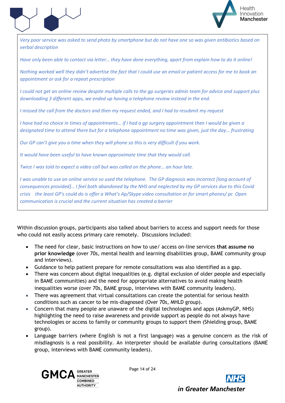



*Very poor service was asked to send photo by smartphone but do not have one so was given antibiotics based on verbal description*

*Have only been able to contact via letter… they have done everything, apart from explain how to do it online!*

*Nothing worked well they didn't advertise the fact that I could use an email or patient access for me to book an appointment or ask for a repeat prescription*

*I could not get an online review despite multiple calls to the gp surgeries admin team for advice and support plus downloading 3 different apps, we ended up having a telephone review instead in the end.*

*I missed the call from the doctors and then my request ended, and I had to resubmit my request*

*I have had no choice in times of appointments… if I had a gp surgery appointment then I would be given a designated time to attend there but for a telephone appointment no time was given, just the day… frustrating*

*Our GP can't give you a time when they will phone so this is very difficult if you work.*

*It would have been useful to have known approximate time that they would call.*

*Twice I was told to expect a video call but was called on the phone… an hour late.*

*I was unable to use an online service so used the telephone. The GP diagnosis was incorrect [long account of consequences provided]… I feel both abandoned by the NHS and neglected by my GP services due to this Covid crisis the least GP's could do is offer a What's Ap/Skype video consultation or for smart phones/ pc Open communication is crucial and the current situation has created a barrier* 

Within discussion groups, participants also talked about barriers to access and support needs for those who could not easily access primary care remotely. Discussions included:

- The need for clear, basic instructions on how to use/ access on-line services **that assume no prior knowledge** (over 70s, mental health and learning disabilities group, BAME community group and interviews).
- Guidance to help patient prepare for remote consultations was also identified as a gap.
- There was concern about digital inequalities (e.g. digital exclusion of older people and especially in BAME communities) and the need for appropriate alternatives to avoid making health inequalities worse (over 70s, BAME group, interviews with BAME community leaders).
- There was agreement that virtual consultations can create the potential for serious health conditions such as cancer to be mis-diagnosed (Over 70s, MHLD group).
- Concern that many people are unaware of the digital technologies and apps (AskmyGP, NHS) highlighting the need to raise awareness and provide support as people do not always have technologies or access to family or community groups to support them (Shielding group, BAME group).
- Language barriers (where English is not a first language) was a genuine concern as the risk of misdiagnosis is a real possibility. An interpreter should be available during consultations (BAME group, interviews with BAME community leaders).



Page 14 of 24

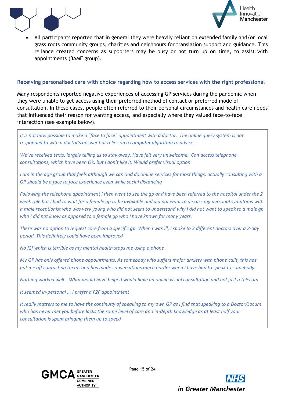



• All participants reported that in general they were heavily reliant on extended family and/or local grass roots community groups, charities and neighbours for translation support and guidance. This reliance created concerns as supporters may be busy or not turn up on time, to assist with appointments (BAME group).

### **Receiving personalised care with choice regarding how to access services with the right professional**

Many respondents reported negative experiences of accessing GP services during the pandemic when they were unable to get access using their preferred method of contact or preferred mode of consultation. In these cases, people often referred to their personal circumstances and health care needs that influenced their reason for wanting access, and especially where they valued face-to-face interaction (see example below).





Page 15 of 24

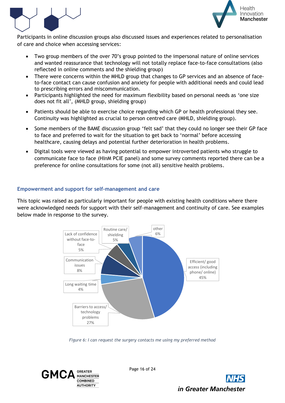



Participants in online discussion groups also discussed issues and experiences related to personalisation of care and choice when accessing services:

- Two group members of the over 70's group pointed to the impersonal nature of online services and wanted reassurance that technology will not totally replace face-to-face consultations (also reflected in online comments and the shielding group)
- There were concerns within the MHLD group that changes to GP services and an absence of faceto-face contact can cause confusion and anxiety for people with additional needs and could lead to prescribing errors and miscommunication.
- Participants highlighted the need for maximum flexibility based on personal needs as 'one size does not fit all', (MHLD group, shielding group)
- Patients should be able to exercise choice regarding which GP or health professional they see. Continuity was highlighted as crucial to person centred care (MHLD, shielding group).
- Some members of the BAME discussion group 'felt sad' that they could no longer see their GP face to face and preferred to wait for the situation to get back to 'normal' before accessing healthcare, causing delays and potential further deterioration in health problems.
- Digital tools were viewed as having potential to empower introverted patients who struggle to communicate face to face (HInM PCIE panel) and some survey comments reported there can be a preference for online consultations for some (not all) sensitive health problems.

## **Empowerment and support for self-management and care**

This topic was raised as particularly important for people with existing health conditions where there were acknowledged needs for support with their self-management and continuity of care. See examples below made in response to the survey.



*Figure 6: I can request the surgery contacts me using my preferred method*

**GREATER** GMC. **MANCHESTER COMBINED AUTHORITY** 

Page 16 of 24

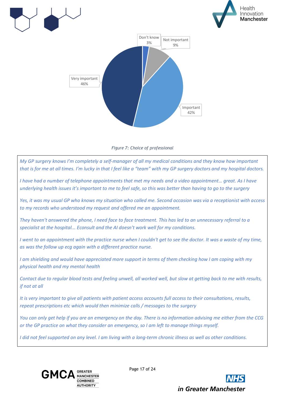





*My GP surgery knows I'm completely a self-manager of all my medical conditions and they know how important that is for me at all times. I'm lucky in that I feel like a "team" with my GP surgery doctors and my hospital doctors.*

*I have had a number of telephone appointments that met my needs and a video appointment… great. As I have underlying health issues it's important to me to feel safe, so this was better than having to go to the surgery*

*Yes, it was my usual GP who knows my situation who called me. Second occasion was via a receptionist with access to my records who understood my request and offered me an appointment.*

*They haven't answered the phone, I need face to face treatment. This has led to an unnecessary referral to a specialist at the hospital... Econsult and the AI doesn't work well for my conditions.*

*I* went to an appointment with the practice nurse when I couldn't get to see the doctor. It was a waste of my time, *as was the follow up ecg again with a different practice nurse.* 

*I* am shielding and would have appreciated more support in terms of them checking how *I* am coping with my *physical health and my mental health*

*Contact due to regular blood tests and feeling unwell, all worked well, but slow at getting back to me with results, if not at all*

*It is very important to give all patients with patient access accounts full access to their consultations, results, repeat prescriptions etc which would then minimize calls / messages to the surgery*

*You can only get help if you are an emergency on the day. There is no information advising me either from the CCG or the GP practice on what they consider an emergency, so I am left to manage things myself.*

*I did not feel supported on any level. I am living with a long-term chronic illness as well as other conditions.* 



Page 17 of 24

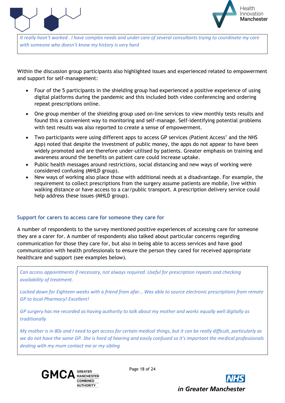



*It really hasn't worked . I have complex needs and under care of several consultants trying to coordinate my care with someone who doesn't know my history is very hard*

Within the discussion group participants also highlighted issues and experienced related to empowerment and support for self-management:

- Four of the 5 participants in the shielding group had experienced a positive experience of using digital platforms during the pandemic and this included both video conferencing and ordering repeat prescriptions online.
- One group member of the shielding group used on-line services to view monthly tests results and found this a convenient way to monitoring and self-manage. Self-identifying potential problems with test results was also reported to create a sense of empowerment.
- Two participants were using different apps to access GP services (Patient Access' and the NHS App) noted that despite the investment of public money, the apps do not appear to have been widely promoted and are therefore under-utilised by patients. Greater emphasis on training and awareness around the benefits on patient care could increase uptake.
- Public health messages around restrictions, social distancing and new ways of working were considered confusing (MHLD group).
- New ways of working also place those with additional needs at a disadvantage. For example, the requirement to collect prescriptions from the surgery assume patients are mobile, live within walking distance or have access to a car/public transport. A prescription delivery service could help address these issues (MHLD group).

### **Support for carers to access care for someone they care for**

A number of respondents to the survey mentioned positive experiences of accessing care for someone they are a carer for. A number of respondents also talked about particular concerns regarding communication for those they care for, but also in being able to access services and have good communication with health professionals to ensure the person they cared for received appropriate healthcare and support (see examples below).

*Can access appointments if necessary, not always required. Useful for prescription repeats and checking availability of treatment.*

*Locked down for Eighteen weeks with a friend from afar... Was able to source electronic prescriptions from remote GP to local Pharmacy! Excellent!*

*GP surgery has me recorded as having authority to talk about my mother and works equally well digitally as traditionally*

*My mother is in 80s and I need to get access for certain medical things, but it can be really difficult, particularly as we do not have the same GP. She is hard of hearing and easily confused so it's important the medical professionals dealing with my mum contact me or my sibling*



Page 18 of 24

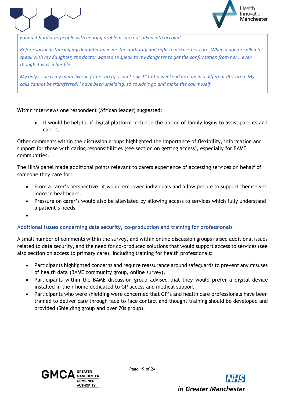



*Found it harder as people with hearing problems are not taken into account*

*Before social distancing my daughter gave me the authority and right to discuss her care. When a doctor called to speak with my daughter, the doctor wanted to speak to my daughter to get the confirmation from her …even though it was in her file.* 

*My only issue is my mum lives in [other area]. I can't ring 111 at a weekend as I am in a different PCT area. My calls cannot be transferred. I have been shielding, so couldn't go and make the call myself*

Within interviews one respondent (African leader) suggested:

It would be helpful if digital platform included the option of family logins to assist parents and carers.

Other comments within the discussion groups highlighted the importance of flexibility, information and support for those with caring responsibilities (see section on getting access), especially for BAME communities.

The HInM panel made additional points relevant to carers experience of accessing services on behalf of someone they care for:

- From a carer's perspective, it would empower individuals and allow people to support themselves more in healthcare.
- Pressure on carer's would also be alleviated by allowing access to services which fully understand a patient's needs
- •

### **Additional issues concerning data security, co-production and training for professionals**

A small number of comments within the survey, and within online discussion groups raised additional issues related to data security, and the need for co-produced solutions that would support access to services (see also section on access to primary care), including training for health professionals:

- Participants highlighted concerns and require reassurance around safeguards to prevent any misuses of health data (BAME community group, online survey).
- Participants within the BAME discussion group advised that they would prefer a digital device installed in their home dedicated to GP access and medical support.
- Participants who were shielding were concerned that GP's and health care professionals have been trained to deliver care through face to face contact and thought training should be developed and provided (Shielding group and over 70s group).



Page 19 of 24

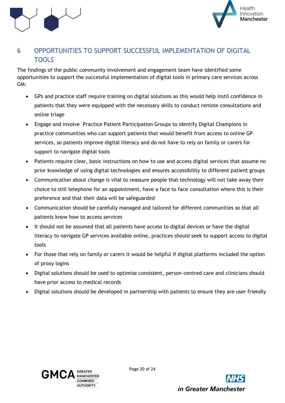



## <span id="page-19-0"></span>6 OPPORTUNITIES TO SUPPORT SUCCESSFUL IMPLEMENTATION OF DIGITAL **TOOLS**

The findings of the public community involvement and engagement team have identified some opportunities to support the successful implementation of digital tools in primary care services across GM:

- GPs and practice staff require training on digital solutions as this would help instil confidence in patients that they were equipped with the necessary skills to conduct remote consultations and online triage
- Engage and involve Practice Patient Participation Groups to identify Digital Champions in practice communities who can support patients that would benefit from access to online GP services, so patients improve digital literacy and do not have to rely on family or carers for support to navigate digital tools
- Patients require clear, basic instructions on how to use and access digital services that assume no prior knowledge of using digital technologies and ensures accessibility to different patient groups
- Communication about change is vital to reassure people that technology will not take away their choice to still telephone for an appointment, have a face to face consultation where this is their preference and that their data will be safeguarded
- Communication should be carefully managed and tailored for different communities so that all patients know how to access services
- It should not be assumed that all patients have access to digital devices or have the digital literacy to navigate GP services available online, practices should seek to support access to digital tools
- For those that rely on family or carers it would be helpful if digital platforms included the option of proxy logins
- Digital solutions should be used to optimise consistent, person-centred care and clinicians should have prior access to medical records
- Digital solutions should be developed in partnership with patients to ensure they are user friendly



Page 20 of 24

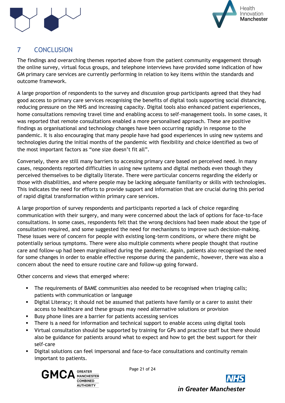



# <span id="page-20-0"></span>7 CONCLUSION

The findings and overarching themes reported above from the patient community engagement through the online survey, virtual focus groups, and telephone interviews have provided some indication of how GM primary care services are currently performing in relation to key items within the standards and outcome framework.

A large proportion of respondents to the survey and discussion group participants agreed that they had good access to primary care services recognising the benefits of digital tools supporting social distancing, reducing pressure on the NHS and increasing capacity. Digital tools also enhanced patient experiences, home consultations removing travel time and enabling access to self-management tools. In some cases, it was reported that remote consultations enabled a more personalised approach. These are positive findings as organisational and technology changes have been occurring rapidly in response to the pandemic. It is also encouraging that many people have had good experiences in using new systems and technologies during the initial months of the pandemic with flexibility and choice identified as two of the most important factors as "one size doesn't fit all".

Conversely, there are still many barriers to accessing primary care based on perceived need. In many cases, respondents reported difficulties in using new systems and digital methods even though they perceived themselves to be digitally literate. There were particular concerns regarding the elderly or those with disabilities, and where people may be lacking adequate familiarity or skills with technologies. This indicates the need for efforts to provide support and information that are crucial during this period of rapid digital transformation within primary care services.

A large proportion of survey respondents and participants reported a lack of choice regarding communication with their surgery, and many were concerned about the lack of options for face-to-face consultations. In some cases, respondents felt that the wrong decisions had been made about the type of consultation required, and some suggested the need for mechanisms to improve such decision-making. These issues were of concern for people with existing long-term conditions, or where there might be potentially serious symptoms. There were also multiple comments where people thought that routine care and follow-up had been marginalised during the pandemic. Again, patients also recognised the need for some changes in order to enable effective response during the pandemic, however, there was also a concern about the need to ensure routine care and follow-up going forward.

Other concerns and views that emerged where:

- The requirements of BAME communities also needed to be recognised when triaging calls; patients with communication or language
- **•** Digital Literacy; it should not be assumed that patients have family or a carer to assist their access to healthcare and these groups may need alternative solutions or provision
- Busy phone lines are a barrier for patients accessing services
- There is a need for information and technical support to enable access using digital tools
- Virtual consultation should be supported by training for GPs and practice staff but there should also be guidance for patients around what to expect and how to get the best support for their self-care
- Digital solutions can feel impersonal and face-to-face consultations and continuity remain important to patients.



Page 21 of 24

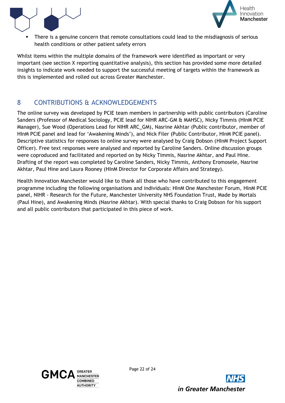



There is a genuine concern that remote consultations could lead to the misdiagnosis of serious health conditions or other patient safety errors

Whilst items within the multiple domains of the framework were identified as important or very important (see section X reporting quantitative analysis), this section has provided some more detailed insights to indicate work needed to support the successful meeting of targets within the framework as this is implemented and rolled out across Greater Manchester.

# <span id="page-21-0"></span>8 CONTRIBUTIONS & ACKNOWLEDGEMENTS

The online survey was developed by PCIE team members in partnership with public contributors (Caroline Sanders (Professor of Medical Sociology, PCIE lead for NIHR ARC-GM & MAHSC), Nicky Timmis (HInM PCIE Manager), Sue Wood (Operations Lead for NIHR ARC\_GM), Nasrine Akhtar (Public contributor, member of HInM PCIE panel and lead for 'Awakening Minds'), and Nick Filer (Public Contributor, HInM PCIE panel). Descriptive statistics for responses to online survey were analysed by Craig Dobson (HInM Project Support Officer). Free text responses were analysed and reported by Caroline Sanders. Online discussion groups were coproduced and facilitated and reported on by Nicky Timmis, Nasrine Akhtar, and Paul Hine. Drafting of the report was completed by Caroline Sanders, Nicky Timmis, Anthony Eromosele, Nasrine Akhtar, Paul Hine and Laura Rooney (HInM Director for Corporate Affairs and Strategy).

Health Innovation Manchester would like to thank all those who have contributed to this engagement programme including the following organisations and individuals: HInM One Manchester Forum, HInM PCIE panel, NIHR - Research for the Future, Manchester University NHS Foundation Trust, Made by Mortals (Paul Hine), and Awakening Minds (Nasrine Akhtar). With special thanks to Craig Dobson for his support and all public contributors that participated in this piece of work.



Page 22 of 24

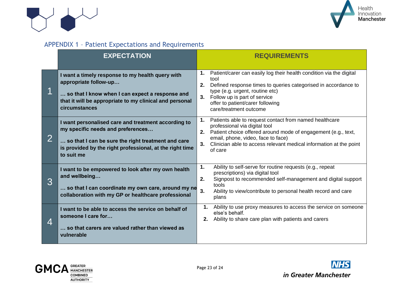



# APPENDIX 1 – Patient Expectations and Requirements

|                | <b>EXPECTATION</b>                                                                                                                                                                                                       | <b>REQUIREMENTS</b>                                                                                                                                                                                                                                                                              |
|----------------|--------------------------------------------------------------------------------------------------------------------------------------------------------------------------------------------------------------------------|--------------------------------------------------------------------------------------------------------------------------------------------------------------------------------------------------------------------------------------------------------------------------------------------------|
|                | I want a timely response to my health query with<br>appropriate follow-up<br>so that I know when I can expect a response and<br>that it will be appropriate to my clinical and personal<br>circumstances                 | Patient/carer can easily log their health condition via the digital<br>1.<br>tool<br>2.<br>Defined response times to queries categorised in accordance to<br>type (e.g. urgent, routine etc)<br>Follow up is part of service<br>3.<br>offer to patient/carer following<br>care/treatment outcome |
| $\overline{2}$ | I want personalised care and treatment according to<br>my specific needs and preferences<br>so that I can be sure the right treatment and care<br>is provided by the right professional, at the right time<br>to suit me | Patients able to request contact from named healthcare<br>1.<br>professional via digital tool<br>2. Patient choice offered around mode of engagement (e.g., text,<br>email, phone, video, face to face)<br>Clinician able to access relevant medical information at the point<br>3.<br>of care   |
| 3              | I want to be empowered to look after my own health<br>and wellbeing<br>so that I can coordinate my own care, around my ne<br>collaboration with my GP or healthcare professional                                         | Ability to self-serve for routine requests (e.g., repeat<br>1.<br>prescriptions) via digital tool<br>Signpost to recommended self-management and digital support<br>2.<br>tools<br>3.<br>Ability to view/contribute to personal health record and care<br>plans                                  |
| 4              | I want to be able to access the service on behalf of<br>someone I care for<br>so that carers are valued rather than viewed as<br>vulnerable                                                                              | 1.<br>Ability to use proxy measures to access the service on someone<br>else's behalf.<br>Ability to share care plan with patients and carers<br>2.                                                                                                                                              |

<span id="page-22-0"></span>



in Greater Manchester